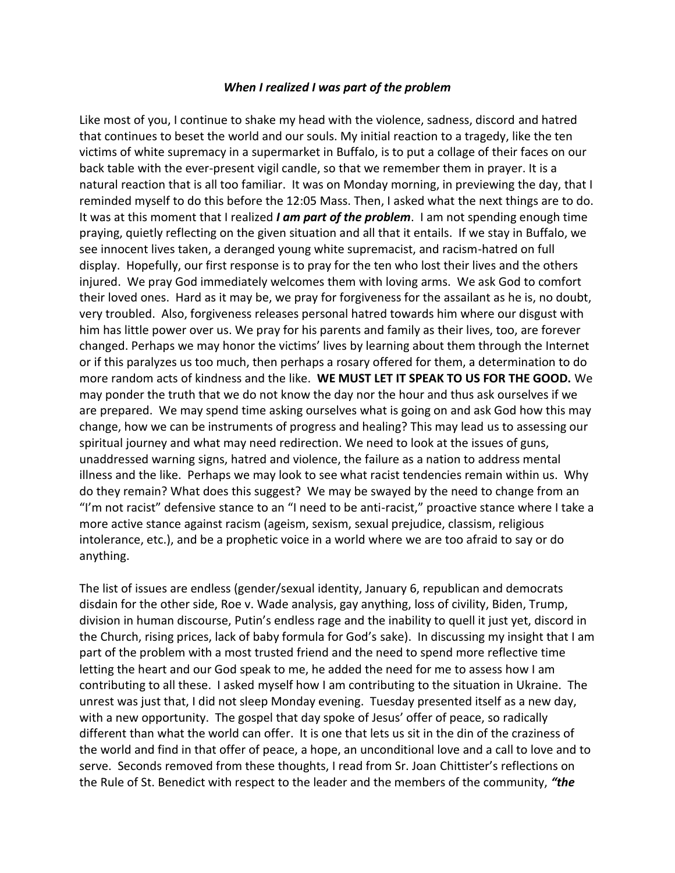## *When I realized I was part of the problem*

Like most of you, I continue to shake my head with the violence, sadness, discord and hatred that continues to beset the world and our souls. My initial reaction to a tragedy, like the ten victims of white supremacy in a supermarket in Buffalo, is to put a collage of their faces on our back table with the ever-present vigil candle, so that we remember them in prayer. It is a natural reaction that is all too familiar. It was on Monday morning, in previewing the day, that I reminded myself to do this before the 12:05 Mass. Then, I asked what the next things are to do. It was at this moment that I realized *I am part of the problem*. I am not spending enough time praying, quietly reflecting on the given situation and all that it entails. If we stay in Buffalo, we see innocent lives taken, a deranged young white supremacist, and racism-hatred on full display. Hopefully, our first response is to pray for the ten who lost their lives and the others injured. We pray God immediately welcomes them with loving arms. We ask God to comfort their loved ones. Hard as it may be, we pray for forgiveness for the assailant as he is, no doubt, very troubled. Also, forgiveness releases personal hatred towards him where our disgust with him has little power over us. We pray for his parents and family as their lives, too, are forever changed. Perhaps we may honor the victims' lives by learning about them through the Internet or if this paralyzes us too much, then perhaps a rosary offered for them, a determination to do more random acts of kindness and the like. **WE MUST LET IT SPEAK TO US FOR THE GOOD.** We may ponder the truth that we do not know the day nor the hour and thus ask ourselves if we are prepared. We may spend time asking ourselves what is going on and ask God how this may change, how we can be instruments of progress and healing? This may lead us to assessing our spiritual journey and what may need redirection. We need to look at the issues of guns, unaddressed warning signs, hatred and violence, the failure as a nation to address mental illness and the like. Perhaps we may look to see what racist tendencies remain within us. Why do they remain? What does this suggest? We may be swayed by the need to change from an "I'm not racist" defensive stance to an "I need to be anti-racist," proactive stance where I take a more active stance against racism (ageism, sexism, sexual prejudice, classism, religious intolerance, etc.), and be a prophetic voice in a world where we are too afraid to say or do anything.

The list of issues are endless (gender/sexual identity, January 6, republican and democrats disdain for the other side, Roe v. Wade analysis, gay anything, loss of civility, Biden, Trump, division in human discourse, Putin's endless rage and the inability to quell it just yet, discord in the Church, rising prices, lack of baby formula for God's sake). In discussing my insight that I am part of the problem with a most trusted friend and the need to spend more reflective time letting the heart and our God speak to me, he added the need for me to assess how I am contributing to all these. I asked myself how I am contributing to the situation in Ukraine. The unrest was just that, I did not sleep Monday evening. Tuesday presented itself as a new day, with a new opportunity. The gospel that day spoke of Jesus' offer of peace, so radically different than what the world can offer. It is one that lets us sit in the din of the craziness of the world and find in that offer of peace, a hope, an unconditional love and a call to love and to serve. Seconds removed from these thoughts, I read from Sr. Joan Chittister's reflections on the Rule of St. Benedict with respect to the leader and the members of the community, *"the*